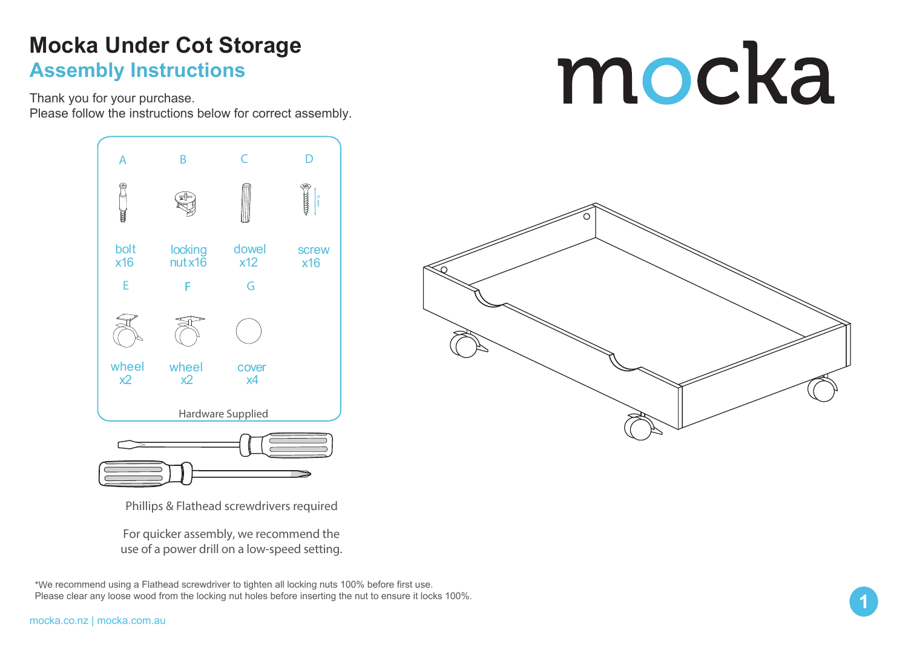### **Mocka Under Cot Storage Assembly Instructions**

Thank you for your purchase.

Please follow the instructions below for correct assembly.



Phillips & Flathead screwdrivers required

For quicker assembly, we recommend the use of a power drill on a low-speed setting.

\*We recommend using a Flathead screwdriver to tighten all locking nuts 100% before first use. Please clear any loose wood from the locking nut holes before inserting the nut to ensure it locks 100%. mocka

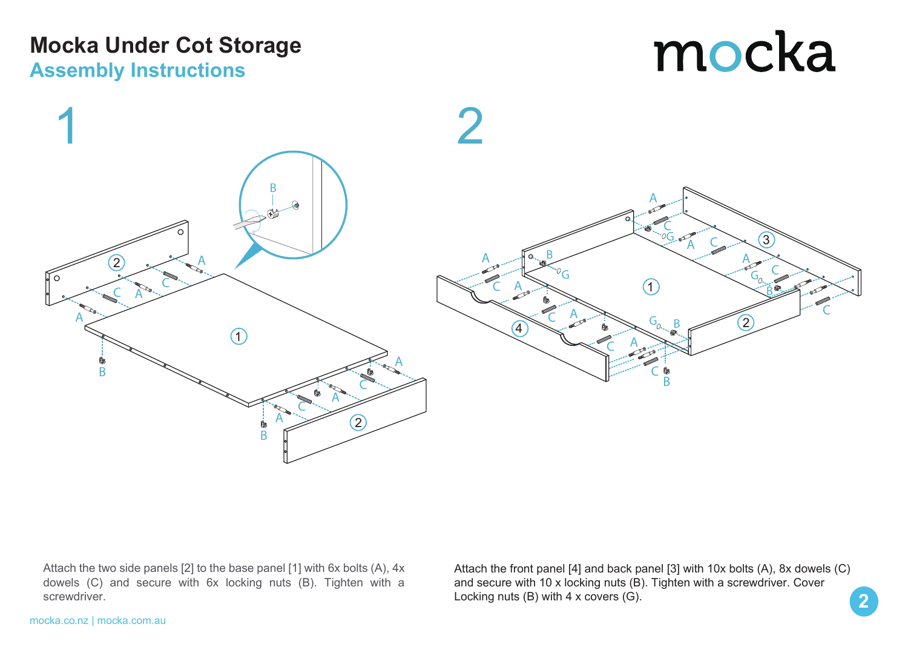### **Mocka Under Cot Storage Assembly Instructions**

## mocka



Attach the two side panels [2] to the base panel [1] with 6x bolts (A), 4x dowels (C) and secure with 6x locking nuts (B). Tighten with a screwdriver.

Attach the front panel [4] and back panel [3] with 10x bolts (A), 8x dowels (C) and secure with 10 x locking nuts (B). Tighten with a screwdriver. Cover Locking nuts (B) with 4 x covers (G).